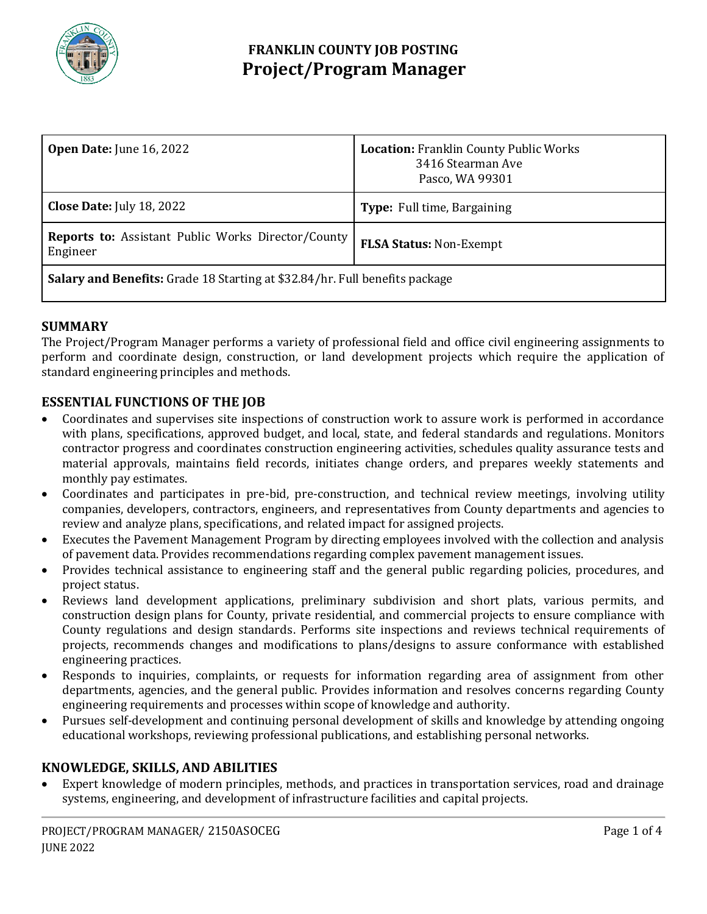

## **FRANKLIN COUNTY JOB POSTING Project/Program Manager**

| <b>Open Date:</b> June 16, 2022                                             | <b>Location: Franklin County Public Works</b><br>3416 Stearman Ave<br>Pasco, WA 99301 |
|-----------------------------------------------------------------------------|---------------------------------------------------------------------------------------|
| <b>Close Date:</b> July 18, 2022                                            | <b>Type:</b> Full time, Bargaining                                                    |
| <b>Reports to:</b> Assistant Public Works Director/County<br>Engineer       | <b>FLSA Status: Non-Exempt</b>                                                        |
| Salary and Benefits: Grade 18 Starting at \$32.84/hr. Full benefits package |                                                                                       |

### **SUMMARY**

The Project/Program Manager performs a variety of professional field and office civil engineering assignments to perform and coordinate design, construction, or land development projects which require the application of standard engineering principles and methods.

### **ESSENTIAL FUNCTIONS OF THE JOB**

- Coordinates and supervises site inspections of construction work to assure work is performed in accordance with plans, specifications, approved budget, and local, state, and federal standards and regulations. Monitors contractor progress and coordinates construction engineering activities, schedules quality assurance tests and material approvals, maintains field records, initiates change orders, and prepares weekly statements and monthly pay estimates.
- Coordinates and participates in pre-bid, pre-construction, and technical review meetings, involving utility companies, developers, contractors, engineers, and representatives from County departments and agencies to review and analyze plans, specifications, and related impact for assigned projects.
- Executes the Pavement Management Program by directing employees involved with the collection and analysis of pavement data. Provides recommendations regarding complex pavement management issues.
- Provides technical assistance to engineering staff and the general public regarding policies, procedures, and project status.
- Reviews land development applications, preliminary subdivision and short plats, various permits, and construction design plans for County, private residential, and commercial projects to ensure compliance with County regulations and design standards. Performs site inspections and reviews technical requirements of projects, recommends changes and modifications to plans/designs to assure conformance with established engineering practices.
- Responds to inquiries, complaints, or requests for information regarding area of assignment from other departments, agencies, and the general public. Provides information and resolves concerns regarding County engineering requirements and processes within scope of knowledge and authority.
- Pursues self-development and continuing personal development of skills and knowledge by attending ongoing educational workshops, reviewing professional publications, and establishing personal networks.

### **KNOWLEDGE, SKILLS, AND ABILITIES**

 Expert knowledge of modern principles, methods, and practices in transportation services, road and drainage systems, engineering, and development of infrastructure facilities and capital projects.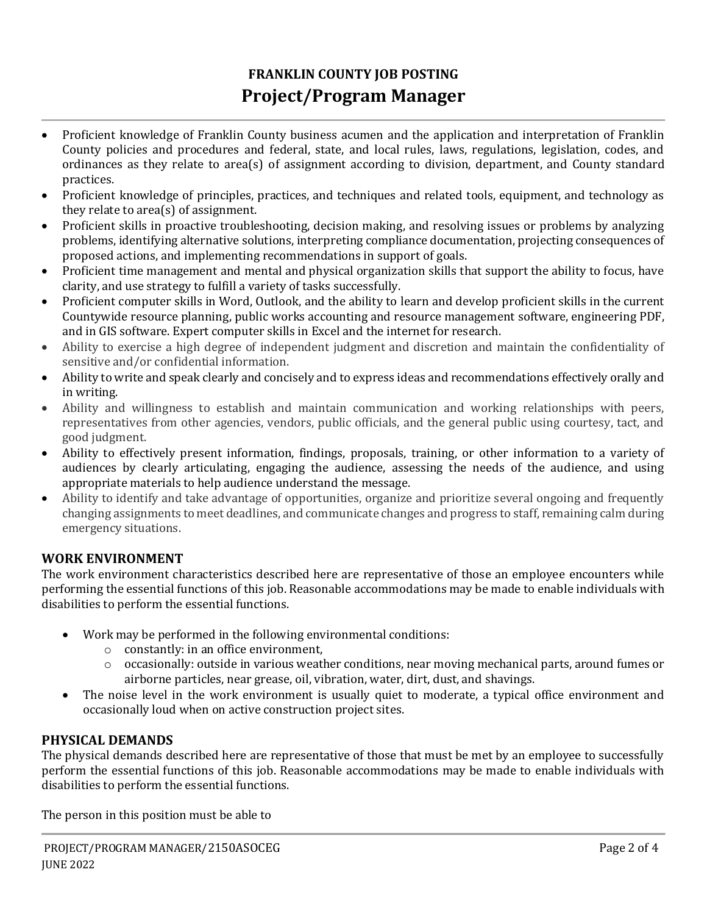# **FRANKLIN COUNTY JOB POSTING Project/Program Manager**

- Proficient knowledge of Franklin County business acumen and the application and interpretation of Franklin County policies and procedures and federal, state, and local rules, laws, regulations, legislation, codes, and ordinances as they relate to area(s) of assignment according to division, department, and County standard practices.
- Proficient knowledge of principles, practices, and techniques and related tools, equipment, and technology as they relate to area(s) of assignment.
- Proficient skills in proactive troubleshooting, decision making, and resolving issues or problems by analyzing problems, identifying alternative solutions, interpreting compliance documentation, projecting consequences of proposed actions, and implementing recommendations in support of goals.
- Proficient time management and mental and physical organization skills that support the ability to focus, have clarity, and use strategy to fulfill a variety of tasks successfully.
- Proficient computer skills in Word, Outlook, and the ability to learn and develop proficient skills in the current Countywide resource planning, public works accounting and resource management software, engineering PDF, and in GIS software. Expert computer skills in Excel and the internet for research.
- Ability to exercise a high degree of independent judgment and discretion and maintain the confidentiality of sensitive and/or confidential information.
- Ability to write and speak clearly and concisely and to express ideas and recommendations effectively orally and in writing.
- Ability and willingness to establish and maintain communication and working relationships with peers, representatives from other agencies, vendors, public officials, and the general public using courtesy, tact, and good judgment.
- Ability to effectively present information, findings, proposals, training, or other information to a variety of audiences by clearly articulating, engaging the audience, assessing the needs of the audience, and using appropriate materials to help audience understand the message.
- Ability to identify and take advantage of opportunities, organize and prioritize several ongoing and frequently changing assignments to meet deadlines, and communicate changes and progress to staff, remaining calm during emergency situations.

## **WORK ENVIRONMENT**

The work environment characteristics described here are representative of those an employee encounters while performing the essential functions of this job. Reasonable accommodations may be made to enable individuals with disabilities to perform the essential functions.

- Work may be performed in the following environmental conditions:
	- o constantly: in an office environment,
	- $\circ$  occasionally: outside in various weather conditions, near moving mechanical parts, around fumes or airborne particles, near grease, oil, vibration, water, dirt, dust, and shavings.
- The noise level in the work environment is usually quiet to moderate, a typical office environment and occasionally loud when on active construction project sites.

## **PHYSICAL DEMANDS**

The physical demands described here are representative of those that must be met by an employee to successfully perform the essential functions of this job. Reasonable accommodations may be made to enable individuals with disabilities to perform the essential functions.

The person in this position must be able to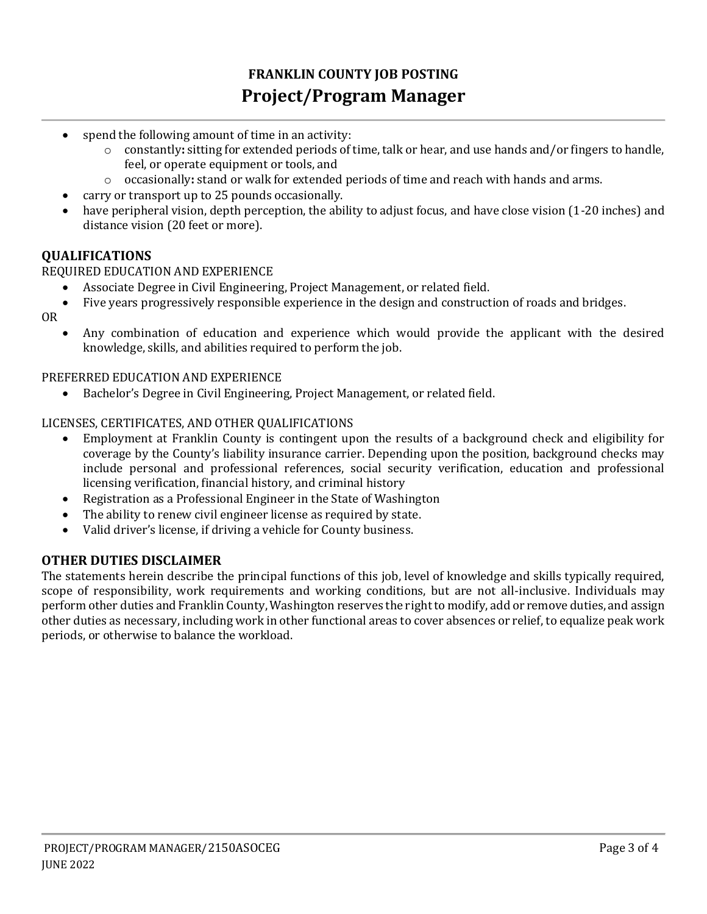# **FRANKLIN COUNTY JOB POSTING Project/Program Manager**

- spend the following amount of time in an activity:
	- o constantly**:** sitting for extended periods of time, talk or hear, and use hands and/or fingers to handle, feel, or operate equipment or tools, and
	- o occasionally**:** stand or walk for extended periods of time and reach with hands and arms.
- carry or transport up to 25 pounds occasionally.
- have peripheral vision, depth perception, the ability to adjust focus, and have close vision (1-20 inches) and distance vision (20 feet or more).

### **QUALIFICATIONS**

#### REQUIRED EDUCATION AND EXPERIENCE

- Associate Degree in Civil Engineering, Project Management, or related field.
- Five years progressively responsible experience in the design and construction of roads and bridges.
- OR
	- Any combination of education and experience which would provide the applicant with the desired knowledge, skills, and abilities required to perform the job.

PREFERRED EDUCATION AND EXPERIENCE

Bachelor's Degree in Civil Engineering, Project Management, or related field.

#### LICENSES, CERTIFICATES, AND OTHER QUALIFICATIONS

- Employment at Franklin County is contingent upon the results of a background check and eligibility for coverage by the County's liability insurance carrier. Depending upon the position, background checks may include personal and professional references, social security verification, education and professional licensing verification, financial history, and criminal history
- Registration as a Professional Engineer in the State of Washington
- The ability to renew civil engineer license as required by state.
- Valid driver's license, if driving a vehicle for County business.

### **OTHER DUTIES DISCLAIMER**

The statements herein describe the principal functions of this job, level of knowledge and skills typically required, scope of responsibility, work requirements and working conditions, but are not all-inclusive. Individuals may perform other duties and Franklin County, Washington reserves the right to modify, add or remove duties, and assign other duties as necessary, including work in other functional areas to cover absences or relief, to equalize peak work periods, or otherwise to balance the workload.